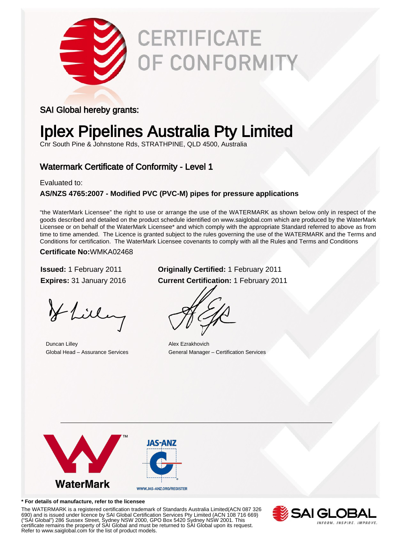

# **CERTIFICATE** OF CONFORMITY

### SAI Global hereby grants:

# Iplex Pipelines Australia Pty Limited

Cnr South Pine & Johnstone Rds, STRATHPINE, QLD 4500, Australia

## Watermark Certificate of Conformity - Level 1

Evaluated to:

### **AS/NZS 4765:2007 - Modified PVC (PVC-M) pipes for pressure applications**

"the WaterMark Licensee" the right to use or arrange the use of the WATERMARK as shown below only in respect of the goods described and detailed on the product schedule identified on www.saiglobal.com which are produced by the WaterMark Licensee or on behalf of the WaterMark Licensee\* and which comply with the appropriate Standard referred to above as from time to time amended. The Licence is granted subject to the rules governing the use of the WATERMARK and the Terms and Conditions for certification. The WaterMark Licensee covenants to comply with all the Rules and Terms and Conditions

#### **Certificate No:**WMKA02468

Hlilling

**Duncan Lilley Alex Ezrakhovich** 

### **Issued:** 1 February 2011 **Originally Certified:** 1 February 2011 **Expires:** 31 January 2016 **Current Certification:** 1 February 2011

Global Head – Assurance Services General Manager – Certification Services



#### **\* For details of manufacture, refer to the licensee**

The WATERMARK is a registered certification trademark of Standards Australia Limited(ACN 087 326 690) and is issued under licence by SAI Global Certification Services Pty Limited (ACN 108 716 669) ("SAI Global") 286 Sussex Street, Sydney NSW 2000, GPO Box 5420 Sydney NSW 2001. This certificate remains the property of SAI Global and must be returned to SAI Global upon its request. Refer to www.saiglobal.com for the list of product models.

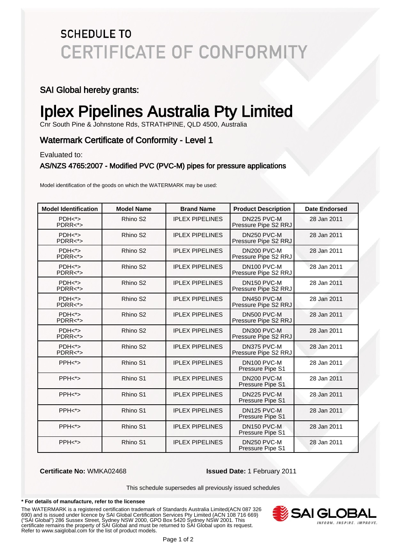# **SCHEDULE TO CERTIFICATE OF CONFORMITY**

### SAI Global hereby grants:

# Iplex Pipelines Australia Pty Limited

Cnr South Pine & Johnstone Rds, STRATHPINE, QLD 4500, Australia

### Watermark Certificate of Conformity - Level 1

Evaluated to:

#### AS/NZS 4765:2007 - Modified PVC (PVC-M) pipes for pressure applications

Model identification of the goods on which the WATERMARK may be used:

| <b>Model Identification</b> | <b>Model Name</b>    | <b>Brand Name</b>      | <b>Product Description</b>                      | <b>Date Endorsed</b> |
|-----------------------------|----------------------|------------------------|-------------------------------------------------|----------------------|
| $PDH*$<br>$PDRR <^*>$       | Rhino S <sub>2</sub> | <b>IPLEX PIPELINES</b> | DN225 PVC-M<br>Pressure Pipe S2 RRJ             | 28 Jan 2011          |
| $PDH*$<br>$PDRR < \gt>$     | Rhino S <sub>2</sub> | <b>IPLEX PIPELINES</b> | DN250 PVC-M<br>Pressure Pipe S2 RRJ             | 28 Jan 2011          |
| $PDH*$<br>$PDRR <^*>$       | Rhino S <sub>2</sub> | <b>IPLEX PIPELINES</b> | DN200 PVC-M<br>Pressure Pipe S2 RRJ             | 28 Jan 2011          |
| $PDH*$<br>$PDRR < \s >$     | Rhino S <sub>2</sub> | <b>IPLEX PIPELINES</b> | DN100 PVC-M<br>Pressure Pipe S2 RRJ             | 28 Jan 2011          |
| $PDH*$<br>PDRR<*>           | Rhino S <sub>2</sub> | <b>IPLEX PIPELINES</b> | DN <sub>150</sub> PVC-M<br>Pressure Pipe S2 RRJ | 28 Jan 2011          |
| $PDH*$<br>$PDRR <^*>$       | Rhino S <sub>2</sub> | <b>IPLEX PIPELINES</b> | DN450 PVC-M<br>Pressure Pipe S2 RRJ             | 28 Jan 2011          |
| $PDH*$<br>$PDRR <^* >$      | Rhino S <sub>2</sub> | <b>IPLEX PIPELINES</b> | DN500 PVC-M<br>Pressure Pipe S2 RRJ             | 28 Jan 2011          |
| $PDH*$<br>$PDRR <^* >$      | Rhino S <sub>2</sub> | <b>IPLEX PIPELINES</b> | DN300 PVC-M<br>Pressure Pipe S2 RRJ             | 28 Jan 2011          |
| $PDH*$<br>$PDRR < \gt>$     | Rhino S <sub>2</sub> | <b>IPLEX PIPELINES</b> | DN375 PVC-M<br>Pressure Pipe S2 RRJ             | 28 Jan 2011          |
| PPH <sub>5</sub>            | Rhino S1             | <b>IPLEX PIPELINES</b> | DN100 PVC-M<br>Pressure Pipe S1                 | 28 Jan 2011          |
| PPH <sub>5</sub>            | Rhino S1             | <b>IPLEX PIPELINES</b> | DN200 PVC-M<br>Pressure Pipe S1                 | 28 Jan 2011          |
| PPH <sub>5</sub>            | Rhino S1             | <b>IPLEX PIPELINES</b> | DN225 PVC-M<br>Pressure Pipe S1                 | 28 Jan 2011          |
| $PPH <^*>$                  | Rhino S1             | <b>IPLEX PIPELINES</b> | DN125 PVC-M<br>Pressure Pipe S1                 | 28 Jan 2011          |
| $PPH < \succeq$             | Rhino S1             | <b>IPLEX PIPELINES</b> | DN150 PVC-M<br>Pressure Pipe S1                 | 28 Jan 2011          |
| PPH <sub>&gt;</sub>         | Rhino S1             | <b>IPLEX PIPELINES</b> | DN250 PVC-M<br>Pressure Pipe S1                 | 28 Jan 2011          |

**Certificate No:** WMKA02468 **Issued Date:** 1 February 2011

This schedule supersedes all previously issued schedules

#### **\* For details of manufacture, refer to the licensee**

The WATERMARK is a registered certification trademark of Standards Australia Limited(ACN 087 326 690) and is issued under licence by SAI Global Certification Services Pty Limited (ACN 108 716 669) ("SAI Global") 286 Sussex Street, Sydney NSW 2000, GPO Box 5420 Sydney NSW 2001. This certificate remains the property of SAI Global and must be returned to SAI Global upon its request. Refer to www.saiglobal.com for the list of product models.